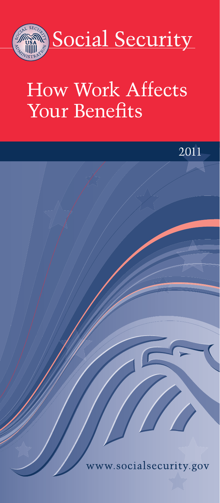

# How Work Affects Your Benefits

2011

しょ

w.socialsecurity.gov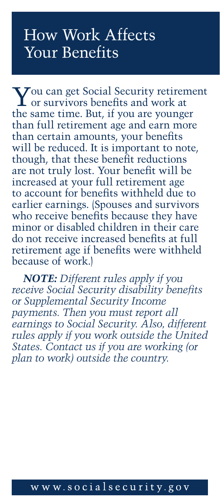## How Work Affects Your Benefits

You can get Social Security retirement or survivors benefits and work at the same time. But, if you are younger than full retirement age and earn more than certain amounts, your benefits will be reduced. It is important to note, though, that these benefit reductions are not truly lost. Your benefit will be increased at your full retirement age to account for benefits withheld due to earlier earnings. (Spouses and survivors who receive benefits because they have minor or disabled children in their care do not receive increased benefits at full retirement age if benefits were withheld because of work.)

*NOTE: Different rules apply if you receive Social Security disability benefits or Supplemental Security Income payments. Then you must report all earnings to Social Security. Also, different rules apply if you work outside the United States. Contact us if you are working (or plan to work) outside the country.*

#### www.socialsecurity.gov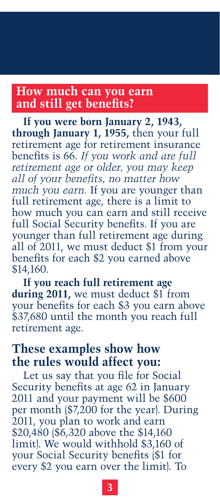#### **How much can you earn and still get benefits?**

**If you were born January 2, 1943, through January 1, 1955,** then your full retirement age for retirement insurance benefits is 66. *If you work and are full retirement age or older, you may keep all of your benefits, no matter how much you earn.* If you are younger than full retirement age, there is a limit to how much you can earn and still receive full Social Security benefits. If you are younger than full retirement age during all of 2011, we must deduct \$1 from your benefits for each \$2 you earned above \$14,160.

**If you reach full retirement age during 2011,** we must deduct \$1 from your benefits for each \$3 you earn above \$37,680 until the month you reach full retirement age.

#### **These examples show how the rules would affect you:**

Let us say that you file for Social Security benefits at age 62 in January 2011 and your payment will be \$600 per month (\$7,200 for the year). During 2011, you plan to work and earn \$20,480 (\$6,320 above the \$14,160 limit). We would withhold \$3,160 of your Social Security benefits (\$1 for every \$2 you earn over the limit). To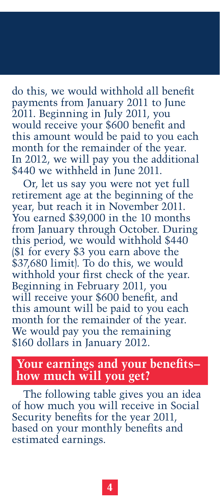do this, we would withhold all benefit payments from January 2011 to June 2011. Beginning in July 2011, you would receive your \$600 benefit and this amount would be paid to you each month for the remainder of the year. In 2012, we will pay you the additional \$440 we withheld in June 2011.

Or, let us say you were not yet full retirement age at the beginning of the year, but reach it in November 2011. You earned \$39,000 in the 10 months from January through October. During this period, we would withhold \$440 (\$1 for every \$3 you earn above the \$37,680 limit). To do this, we would withhold your first check of the year. Beginning in February 2011, you will receive your \$600 benefit, and this amount will be paid to you each month for the remainder of the year. We would pay you the remaining \$160 dollars in January 2012.

#### **Your earnings and your benefits– how much will you get?**

The following table gives you an idea of how much you will receive in Social Security benefits for the year 2011, based on your monthly benefits and estimated earnings.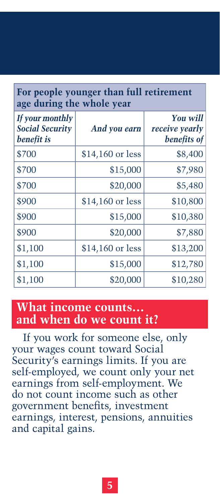#### **For people younger than full retirement age during the whole year**

| If your monthly<br><b>Social Security</b><br>benefit is | And you earn     | <b>You will</b><br>receive yearly<br>benefits of |
|---------------------------------------------------------|------------------|--------------------------------------------------|
| \$700                                                   | \$14,160 or less | \$8,400                                          |
| \$700                                                   | \$15,000         | \$7,980                                          |
| \$700                                                   | \$20,000         | \$5,480                                          |
| \$900                                                   | \$14,160 or less | \$10,800                                         |
| \$900                                                   | \$15,000         | \$10,380                                         |
| \$900                                                   | \$20,000         | \$7,880                                          |
| \$1,100                                                 | \$14,160 or less | \$13,200                                         |
| \$1,100                                                 | \$15,000         | \$12,780                                         |
| \$1,100                                                 | \$20,000         | \$10,280                                         |

#### **What income counts… and when do we count it?**

If you work for someone else, only your wages count toward Social Security's earnings limits. If you are self-employed, we count only your net earnings from self-employment. We do not count income such as other government benefits, investment earnings, interest, pensions, annuities and capital gains.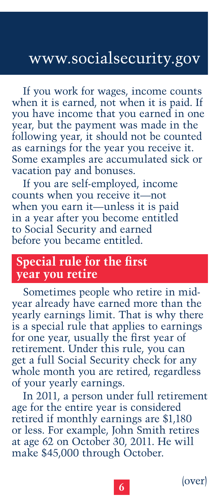### www.socialsecurity.gov

If you work for wages, income counts when it is earned, not when it is paid. If you have income that you earned in one year, but the payment was made in the following year, it should not be counted as earnings for the year you receive it. Some examples are accumulated sick or vacation pay and bonuses.

If you are self-employed, income counts when you receive it—not when you earn it—unless it is paid in a year after you become entitled to Social Security and earned before you became entitled.

#### **Special rule for the first year you retire**

Sometimes people who retire in midyear already have earned more than the yearly earnings limit. That is why there is a special rule that applies to earnings for one year, usually the first year of retirement. Under this rule, you can get a full Social Security check for any whole month you are retired, regardless of your yearly earnings.

In 2011, a person under full retirement age for the entire year is considered retired if monthly earnings are \$1,180 or less. For example, John Smith retires at age 62 on October 30, 2011. He will make \$45,000 through October.

 $(over)$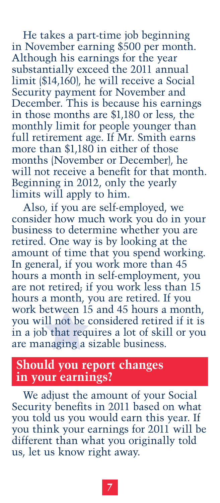He takes a part-time job beginning in November earning \$500 per month. Although his earnings for the year substantially exceed the 2011 annual limit (\$14,160), he will receive a Social Security payment for November and December. This is because his earnings in those months are \$1,180 or less, the monthly limit for people younger than full retirement age. If Mr. Smith earns more than \$1,180 in either of those months (November or December), he will not receive a benefit for that month. Beginning in 2012, only the yearly limits will apply to him.

Also, if you are self-employed, we consider how much work you do in your business to determine whether you are retired. One way is by looking at the amount of time that you spend working. In general, if you work more than 45 hours a month in self-employment, you are not retired; if you work less than 15 hours a month, you are retired. If you work between 15 and 45 hours a month, you will not be considered retired if it is in a job that requires a lot of skill or you are managing a sizable business.

#### **Should you report changes in your earnings?**

We adjust the amount of your Social Security benefits in 2011 based on what you told us you would earn this year. If you think your earnings for 2011 will be different than what you originally told us, let us know right away.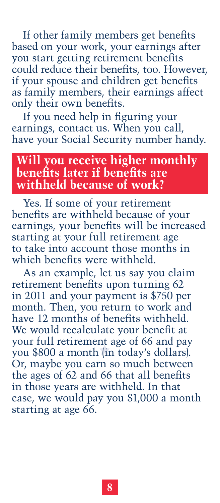If other family members get benefits based on your work, your earnings after you start getting retirement benefits could reduce their benefits, too. However, if your spouse and children get benefits as family members, their earnings affect only their own benefits.

If you need help in figuring your earnings, contact us. When you call, have your Social Security number handy.

#### **Will you receive higher monthly benefits later if benefits are withheld because of work?**

Yes. If some of your retirement benefits are withheld because of your earnings, your benefits will be increased starting at your full retirement age to take into account those months in which benefits were withheld.

As an example, let us say you claim retirement benefits upon turning 62 in 2011 and your payment is \$750 per month. Then, you return to work and have 12 months of benefits withheld. We would recalculate your benefit at your full retirement age of 66 and pay you \$800 a month (in today's dollars). Or, maybe you earn so much between the ages of 62 and 66 that all benefits in those years are withheld. In that case, we would pay you \$1,000 a month starting at age 66.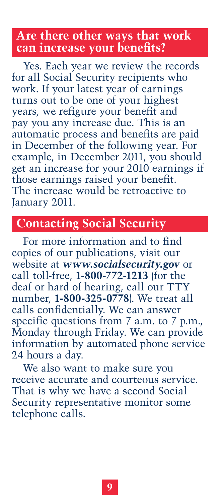#### **Are there other ways that work can increase your benefits?**

Yes. Each year we review the records for all Social Security recipients who work. If your latest year of earnings turns out to be one of your highest years, we refigure your benefit and pay you any increase due. This is an automatic process and benefits are paid in December of the following year. For example, in December 2011, you should get an increase for your 2010 earnings if those earnings raised your benefit. The increase would be retroactive to January 2011.

#### **Contacting Social Security**

For more information and to find copies of our publications, visit our website at *<www.socialsecurity.gov>* or call toll-free, **1-800-772-1213** (for the deaf or hard of hearing, call our TTY number, **1-800-325-0778**). We treat all calls confidentially. We can answer specific questions from 7 a.m. to 7 p.m., Monday through Friday. We can provide information by automated phone service 24 hours a day.

We also want to make sure you receive accurate and courteous service. That is why we have a second Social Security representative monitor some telephone calls.